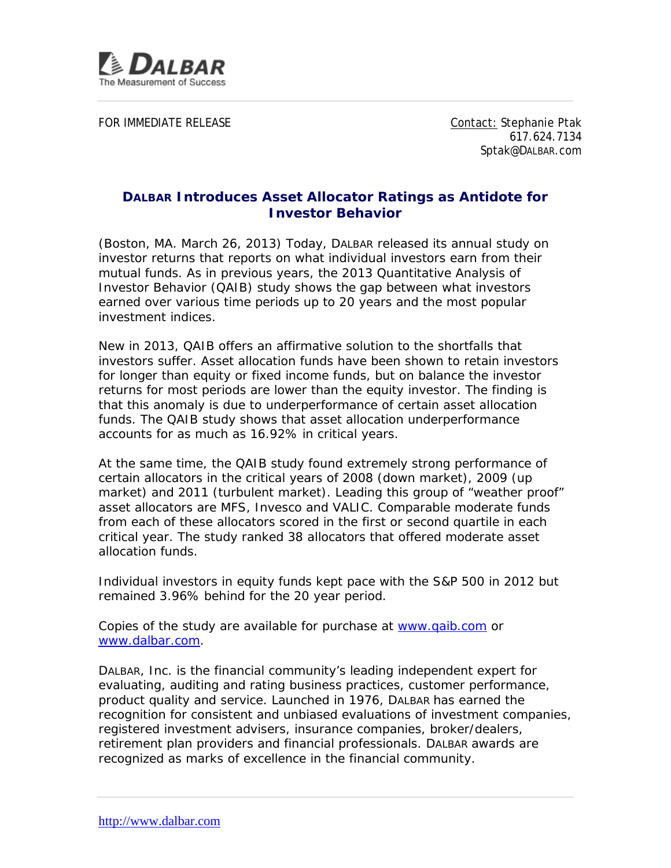

FOR IMMEDIATE RELEASE CONTACT CONTACT: Stephanie Ptak

617.624.7134 Sptak@DALBAR.com

## **DALBAR Introduces Asset Allocator Ratings as Antidote for Investor Behavior**

(Boston, MA. March 26, 2013) Today, DALBAR released its annual study on investor returns that reports on what individual investors earn from their mutual funds. As in previous years, the 2013 Quantitative Analysis of Investor Behavior (QAIB) study shows the gap between what investors earned over various time periods up to 20 years and the most popular investment indices.

New in 2013, QAIB offers an affirmative solution to the shortfalls that investors suffer. Asset allocation funds have been shown to retain investors for longer than equity or fixed income funds, but on balance the investor returns for most periods are lower than the equity investor. The finding is that this anomaly is due to underperformance of certain asset allocation funds. The QAIB study shows that asset allocation underperformance accounts for as much as 16.92% in critical years.

At the same time, the QAIB study found extremely strong performance of certain allocators in the critical years of 2008 (down market), 2009 (up market) and 2011 (turbulent market). Leading this group of "weather proof" asset allocators are MFS, Invesco and VALIC. Comparable moderate funds from each of these allocators scored in the first or second quartile in each critical year. The study ranked 38 allocators that offered moderate asset allocation funds.

Individual investors in equity funds kept pace with the S&P 500 in 2012 but remained 3.96% behind for the 20 year period.

Copies of the study are available for purchase at [www.qaib.com](http://www.qaib.com/) or [www.dalbar.com.](http://www.dalbar.com/)

DALBAR, Inc. is the financial community's leading independent expert for evaluating, auditing and rating business practices, customer performance, product quality and service. Launched in 1976, DALBAR has earned the recognition for consistent and unbiased evaluations of investment companies, registered investment advisers, insurance companies, broker/dealers, retirement plan providers and financial professionals. DALBAR awards are recognized as marks of excellence in the financial community.